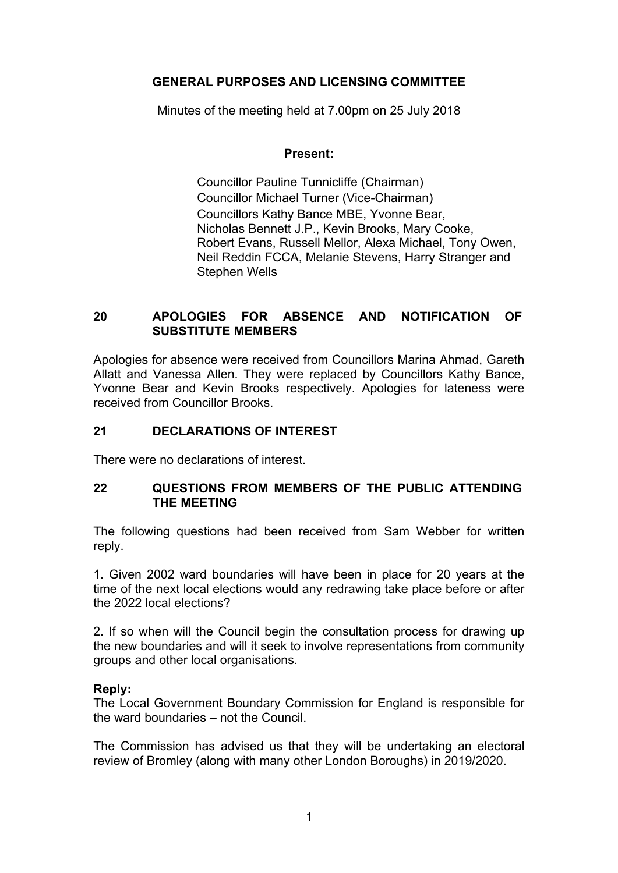# **GENERAL PURPOSES AND LICENSING COMMITTEE**

Minutes of the meeting held at 7.00pm on 25 July 2018

### **Present:**

Councillor Pauline Tunnicliffe (Chairman) Councillor Michael Turner (Vice-Chairman) Councillors Kathy Bance MBE, Yvonne Bear, Nicholas Bennett J.P., Kevin Brooks, Mary Cooke, Robert Evans, Russell Mellor, Alexa Michael, Tony Owen, Neil Reddin FCCA, Melanie Stevens, Harry Stranger and Stephen Wells

# **20 APOLOGIES FOR ABSENCE AND NOTIFICATION OF SUBSTITUTE MEMBERS**

Apologies for absence were received from Councillors Marina Ahmad, Gareth Allatt and Vanessa Allen. They were replaced by Councillors Kathy Bance, Yvonne Bear and Kevin Brooks respectively. Apologies for lateness were received from Councillor Brooks.

### **21 DECLARATIONS OF INTEREST**

There were no declarations of interest.

### **22 QUESTIONS FROM MEMBERS OF THE PUBLIC ATTENDING THE MEETING**

The following questions had been received from Sam Webber for written reply.

1. Given 2002 ward boundaries will have been in place for 20 years at the time of the next local elections would any redrawing take place before or after the 2022 local elections?

2. If so when will the Council begin the consultation process for drawing up the new boundaries and will it seek to involve representations from community groups and other local organisations.

## **Reply:**

The Local Government Boundary Commission for England is responsible for the ward boundaries – not the Council.

The Commission has advised us that they will be undertaking an electoral review of Bromley (along with many other London Boroughs) in 2019/2020.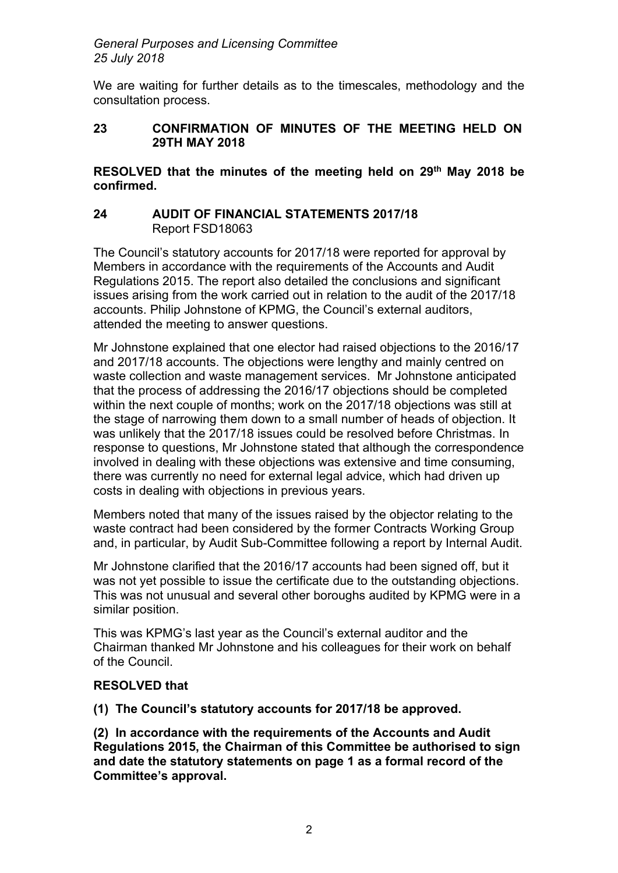We are waiting for further details as to the timescales, methodology and the consultation process.

### **23 CONFIRMATION OF MINUTES OF THE MEETING HELD ON 29TH MAY 2018**

**RESOLVED that the minutes of the meeting held on 29th May 2018 be confirmed.**

### **24 AUDIT OF FINANCIAL STATEMENTS 2017/18** Report FSD18063

The Council's statutory accounts for 2017/18 were reported for approval by Members in accordance with the requirements of the Accounts and Audit Regulations 2015. The report also detailed the conclusions and significant issues arising from the work carried out in relation to the audit of the 2017/18 accounts. Philip Johnstone of KPMG, the Council's external auditors, attended the meeting to answer questions.

Mr Johnstone explained that one elector had raised objections to the 2016/17 and 2017/18 accounts. The objections were lengthy and mainly centred on waste collection and waste management services. Mr Johnstone anticipated that the process of addressing the 2016/17 objections should be completed within the next couple of months; work on the 2017/18 objections was still at the stage of narrowing them down to a small number of heads of objection. It was unlikely that the 2017/18 issues could be resolved before Christmas. In response to questions, Mr Johnstone stated that although the correspondence involved in dealing with these objections was extensive and time consuming, there was currently no need for external legal advice, which had driven up costs in dealing with objections in previous years.

Members noted that many of the issues raised by the objector relating to the waste contract had been considered by the former Contracts Working Group and, in particular, by Audit Sub-Committee following a report by Internal Audit.

Mr Johnstone clarified that the 2016/17 accounts had been signed off, but it was not yet possible to issue the certificate due to the outstanding objections. This was not unusual and several other boroughs audited by KPMG were in a similar position.

This was KPMG's last year as the Council's external auditor and the Chairman thanked Mr Johnstone and his colleagues for their work on behalf of the Council.

## **RESOLVED that**

**(1) The Council's statutory accounts for 2017/18 be approved.**

**(2) In accordance with the requirements of the Accounts and Audit Regulations 2015, the Chairman of this Committee be authorised to sign and date the statutory statements on page 1 as a formal record of the Committee's approval.**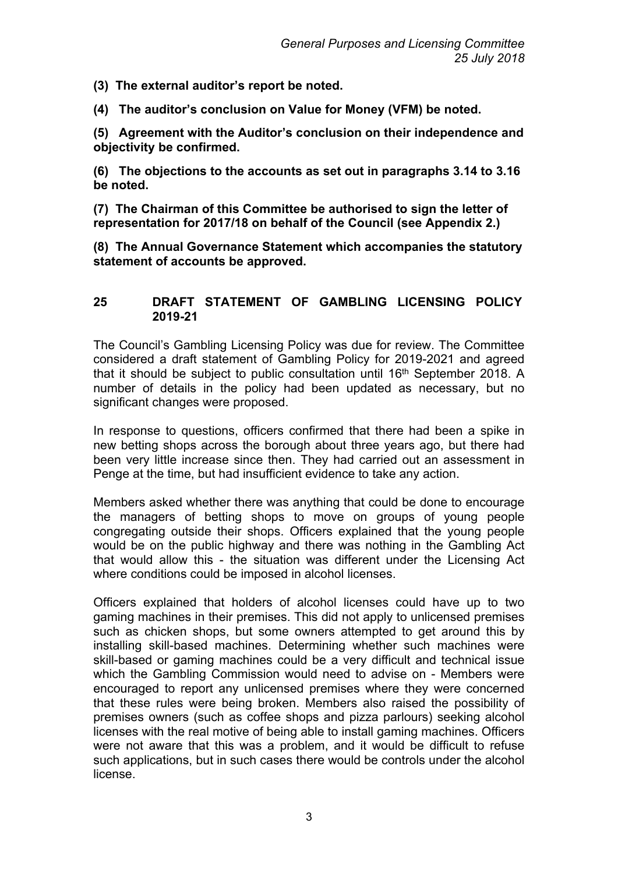- **(3) The external auditor's report be noted.**
- **(4) The auditor's conclusion on Value for Money (VFM) be noted.**

**(5) Agreement with the Auditor's conclusion on their independence and objectivity be confirmed.**

**(6) The objections to the accounts as set out in paragraphs 3.14 to 3.16 be noted.**

**(7) The Chairman of this Committee be authorised to sign the letter of representation for 2017/18 on behalf of the Council (see Appendix 2.)**

**(8) The Annual Governance Statement which accompanies the statutory statement of accounts be approved.**

#### **25 DRAFT STATEMENT OF GAMBLING LICENSING POLICY 2019-21**

The Council's Gambling Licensing Policy was due for review. The Committee considered a draft statement of Gambling Policy for 2019-2021 and agreed that it should be subject to public consultation until 16th September 2018. A number of details in the policy had been updated as necessary, but no significant changes were proposed.

In response to questions, officers confirmed that there had been a spike in new betting shops across the borough about three years ago, but there had been very little increase since then. They had carried out an assessment in Penge at the time, but had insufficient evidence to take any action.

Members asked whether there was anything that could be done to encourage the managers of betting shops to move on groups of young people congregating outside their shops. Officers explained that the young people would be on the public highway and there was nothing in the Gambling Act that would allow this - the situation was different under the Licensing Act where conditions could be imposed in alcohol licenses.

Officers explained that holders of alcohol licenses could have up to two gaming machines in their premises. This did not apply to unlicensed premises such as chicken shops, but some owners attempted to get around this by installing skill-based machines. Determining whether such machines were skill-based or gaming machines could be a very difficult and technical issue which the Gambling Commission would need to advise on - Members were encouraged to report any unlicensed premises where they were concerned that these rules were being broken. Members also raised the possibility of premises owners (such as coffee shops and pizza parlours) seeking alcohol licenses with the real motive of being able to install gaming machines. Officers were not aware that this was a problem, and it would be difficult to refuse such applications, but in such cases there would be controls under the alcohol license.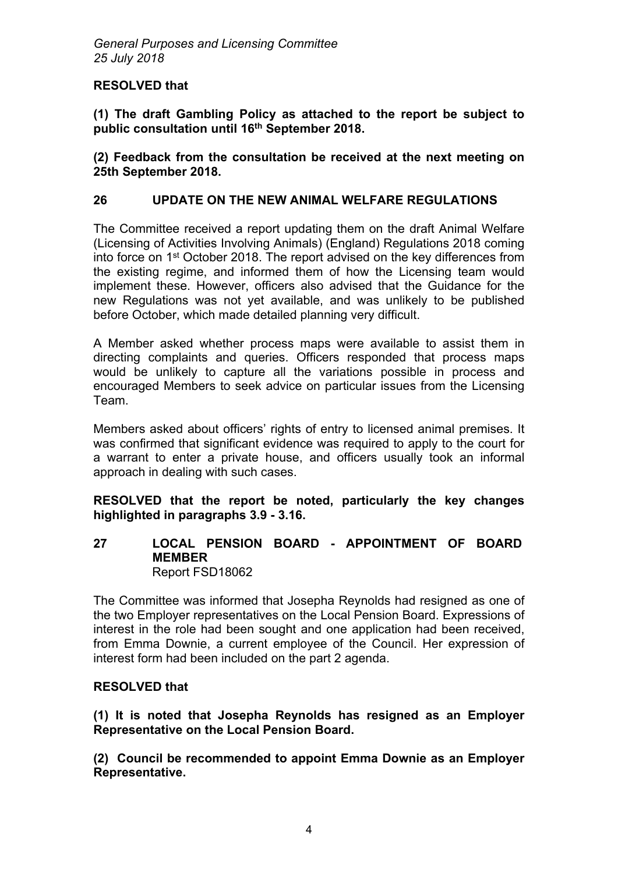### **RESOLVED that**

**(1) The draft Gambling Policy as attached to the report be subject to public consultation until 16th September 2018.**

**(2) Feedback from the consultation be received at the next meeting on 25th September 2018.** 

### **26 UPDATE ON THE NEW ANIMAL WELFARE REGULATIONS**

The Committee received a report updating them on the draft Animal Welfare (Licensing of Activities Involving Animals) (England) Regulations 2018 coming into force on 1<sup>st</sup> October 2018. The report advised on the key differences from the existing regime, and informed them of how the Licensing team would implement these. However, officers also advised that the Guidance for the new Regulations was not yet available, and was unlikely to be published before October, which made detailed planning very difficult.

A Member asked whether process maps were available to assist them in directing complaints and queries. Officers responded that process maps would be unlikely to capture all the variations possible in process and encouraged Members to seek advice on particular issues from the Licensing Team.

Members asked about officers' rights of entry to licensed animal premises. It was confirmed that significant evidence was required to apply to the court for a warrant to enter a private house, and officers usually took an informal approach in dealing with such cases.

**RESOLVED that the report be noted, particularly the key changes highlighted in paragraphs 3.9 - 3.16.**

#### **27 LOCAL PENSION BOARD - APPOINTMENT OF BOARD MEMBER** Report FSD18062

The Committee was informed that Josepha Reynolds had resigned as one of the two Employer representatives on the Local Pension Board. Expressions of interest in the role had been sought and one application had been received, from Emma Downie, a current employee of the Council. Her expression of interest form had been included on the part 2 agenda.

#### **RESOLVED that**

**(1) It is noted that Josepha Reynolds has resigned as an Employer Representative on the Local Pension Board.**

**(2) Council be recommended to appoint Emma Downie as an Employer Representative.**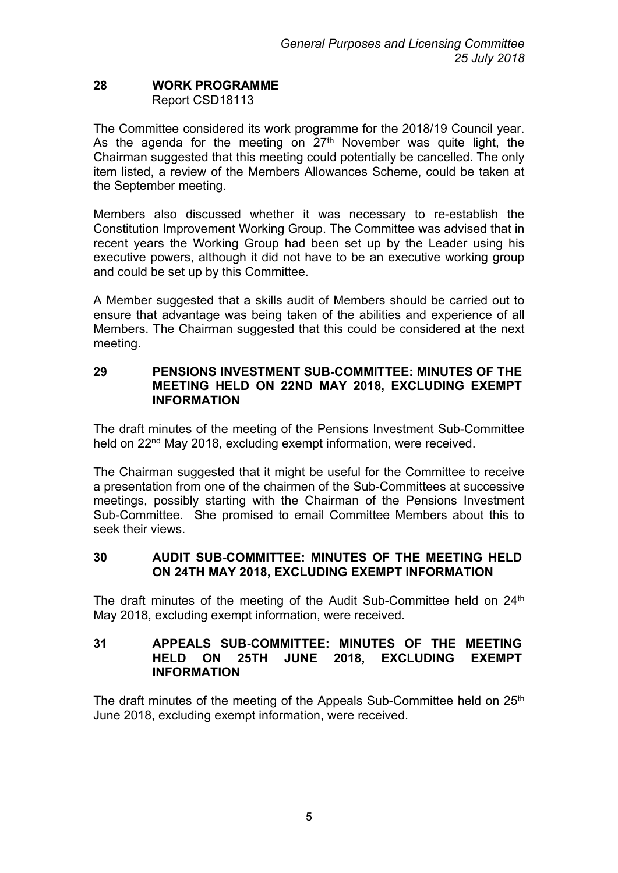### **28 WORK PROGRAMME** Report CSD18113

The Committee considered its work programme for the 2018/19 Council year. As the agenda for the meeting on  $27<sup>th</sup>$  November was quite light, the Chairman suggested that this meeting could potentially be cancelled. The only item listed, a review of the Members Allowances Scheme, could be taken at the September meeting.

Members also discussed whether it was necessary to re-establish the Constitution Improvement Working Group. The Committee was advised that in recent years the Working Group had been set up by the Leader using his executive powers, although it did not have to be an executive working group and could be set up by this Committee.

A Member suggested that a skills audit of Members should be carried out to ensure that advantage was being taken of the abilities and experience of all Members. The Chairman suggested that this could be considered at the next meeting.

#### **29 PENSIONS INVESTMENT SUB-COMMITTEE: MINUTES OF THE MEETING HELD ON 22ND MAY 2018, EXCLUDING EXEMPT INFORMATION**

The draft minutes of the meeting of the Pensions Investment Sub-Committee held on 22<sup>nd</sup> May 2018, excluding exempt information, were received.

The Chairman suggested that it might be useful for the Committee to receive a presentation from one of the chairmen of the Sub-Committees at successive meetings, possibly starting with the Chairman of the Pensions Investment Sub-Committee. She promised to email Committee Members about this to seek their views.

### **30 AUDIT SUB-COMMITTEE: MINUTES OF THE MEETING HELD ON 24TH MAY 2018, EXCLUDING EXEMPT INFORMATION**

The draft minutes of the meeting of the Audit Sub-Committee held on 24<sup>th</sup> May 2018, excluding exempt information, were received.

### **31 APPEALS SUB-COMMITTEE: MINUTES OF THE MEETING HELD ON 25TH JUNE 2018, EXCLUDING EXEMPT INFORMATION**

The draft minutes of the meeting of the Appeals Sub-Committee held on 25<sup>th</sup> June 2018, excluding exempt information, were received.